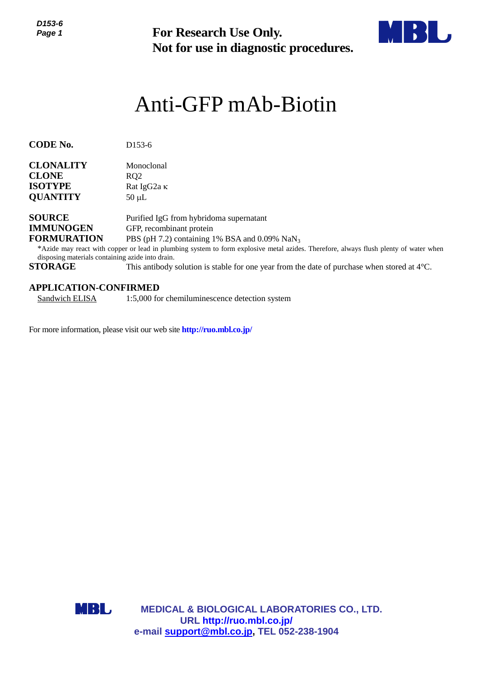**Not for use in diagnostic procedures.**



# Anti-GFP mAb-Biotin

**CODE No.** D153-6

| <b>CLONALITY</b> | Monoclonal         |
|------------------|--------------------|
| <b>CLONE</b>     | RO <sub>2</sub>    |
| <b>ISOTYPE</b>   | Rat IgG2a $\kappa$ |
| <b>QUANTITY</b>  | $50 \mu L$         |

**SOURCE** Purified IgG from hybridoma supernatant **IMMUNOGEN** GFP, recombinant protein **FORMURATION** PBS (pH 7.2) containing 1% BSA and 0.09% NaN<sub>3</sub>

\*Azide may react with copper or lead in plumbing system to form explosive metal azides. Therefore, always flush plenty of water when disposing materials containing azide into drain.

**STORAGE** This antibody solution is stable for one year from the date of purchase when stored at 4°C.

#### **APPLICATION-CONFIRMED**

Sandwich ELISA 1:5,000 for chemiluminescence detection system

For more information, please visit our web site **http://ruo.mbl.co.jp/**



**MEDICAL & BIOLOGICAL LABORATORIES CO., LTD. URL [http://ruo.mbl.co.jp/](https://ruo.mbl.co.jp/)** For Research Use Only.<br>
Not for use in diagnostic procedure<br>
Anti-GFP mAb-Biotin<br>
153-6<br>
support<br>
11.1523 containing 1% and 0.09% NaN<sub>3</sub><br>
11.1523 containing 1% and 0.09% NaN<sub>3</sub><br>
22.162 containing 1% and 0.09% NaN<sub>3</sub><br>
25 (p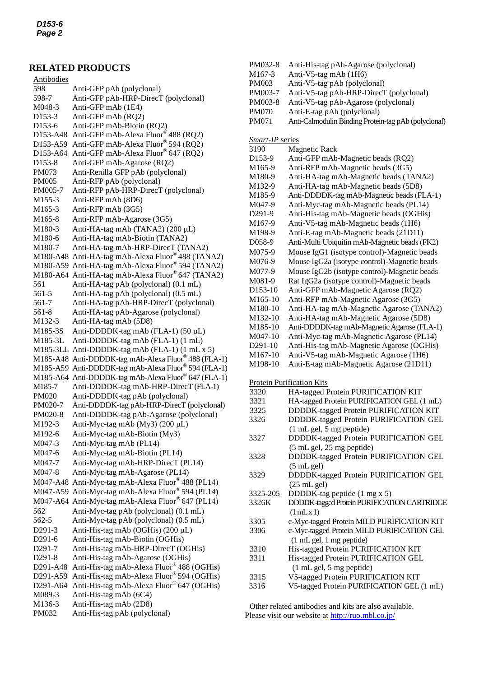### **RELATED PRODUCTS**

| <b>Antibodies</b>   |                                                      |
|---------------------|------------------------------------------------------|
| 598                 | Anti-GFP pAb (polyclonal)                            |
| 598-7               | Anti-GFP pAb-HRP-DirecT (polyclonal)                 |
| M048-3              | Anti-GFP mAb (1E4)                                   |
| D <sub>153</sub> -3 | Anti-GFP mAb (RQ2)                                   |
| D153-6              | Anti-GFP mAb-Biotin (RQ2)                            |
| D153-A48            | Anti-GFP mAb-Alexa Fluor® 488 (RQ2)                  |
| D153-A59            | Anti-GFP mAb-Alexa Fluor® 594 (RQ2)                  |
| D153-A64            | Anti-GFP mAb-Alexa Fluor® 647 (RQ2)                  |
| D153-8              | Anti-GFP mAb-Agarose (RQ2)                           |
| PM073               | Anti-Renilla GFP pAb (polyclonal)                    |
| <b>PM005</b>        | Anti-RFP pAb (polyclonal)                            |
| PM005-7             | Anti-RFP pAb-HRP-DirecT (polyclonal)                 |
| M <sub>155</sub> -3 | Anti-RFP mAb (8D6)                                   |
| M <sub>165</sub> -3 | Anti-RFP mAb (3G5)                                   |
| M165-8              | Anti-RFP mAb-Agarose (3G5)                           |
| M180-3              | Anti-HA-tag mAb (TANA2) (200 µL)                     |
| M180-6              | Anti-HA-tag mAb-Biotin (TANA2)                       |
| M180-7              | Anti-HA-tag mAb-HRP-DirecT (TANA2)                   |
|                     | M180-A48 Anti-HA-tag mAb-Alexa Fluor® 488 (TANA2)    |
|                     | M180-A59 Anti-HA-tag mAb-Alexa Fluor® 594 (TANA2)    |
|                     | M180-A64 Anti-HA-tag mAb-Alexa Fluor® 647 (TANA2)    |
| 561                 | Anti-HA-tag pAb (polyclonal) (0.1 mL)                |
| 561-5               | Anti-HA-tag pAb (polyclonal) (0.5 mL)                |
| 561-7               | Anti-HA-tag pAb-HRP-DirecT (polyclonal)              |
| 561-8               | Anti-HA-tag pAb-Agarose (polyclonal)                 |
| M132-3              | Anti-HA-tag mAb (5D8)                                |
| M185-3S             | Anti-DDDDK-tag mAb (FLA-1) (50 µL)                   |
| M185-3L             | Anti-DDDDK-tag mAb (FLA-1) (1 mL)                    |
|                     | M185-3LL Anti-DDDDK-tag mAb (FLA-1) (1 mL x 5)       |
|                     | M185-A48 Anti-DDDDK-tag mAb-Alexa Fluor® 488 (FLA-1) |
|                     | M185-A59 Anti-DDDDK-tag mAb-Alexa Fluor® 594 (FLA-1) |
|                     | M185-A64 Anti-DDDDK-tag mAb-Alexa Fluor® 647 (FLA-1) |
| M185-7              | Anti-DDDDK-tag mAb-HRP-DirecT (FLA-1)                |
| <b>PM020</b>        | Anti-DDDDK-tag pAb (polyclonal)                      |
| PM020-7             | Anti-DDDDK-tag pAb-HRP-DirecT (polyclonal)           |
| PM020-8             | Anti-DDDDK-tag pAb-Agarose (polyclonal)              |
| M192-3              | Anti-Myc-tag mAb (My3) (200 µL)                      |
|                     | Anti-Myc-tag mAb-Biotin (My3)                        |
| M192-6              |                                                      |
| M047-3              | Anti-Myc-tag mAb (PL14)                              |
| M047-6              | Anti-Myc-tag mAb-Biotin (PL14)                       |
| M047-7              | Anti-Myc-tag mAb-HRP-DirecT (PL14)                   |
| M047-8              | Anti-Myc-tag mAb-Agarose (PL14)                      |
|                     | M047-A48 Anti-Myc-tag mAb-Alexa Fluor® 488 (PL14)    |
|                     | M047-A59 Anti-Myc-tag mAb-Alexa Fluor® 594 (PL14)    |
|                     | M047-A64 Anti-Myc-tag mAb-Alexa Fluor® 647 (PL14)    |
| 562                 | Anti-Myc-tag pAb (polyclonal) (0.1 mL)               |
| 562-5               | Anti-Myc-tag pAb (polyclonal) (0.5 mL)               |
| D291-3              | Anti-His-tag mAb (OGHis) (200 µL)                    |
| D291-6              | Anti-His-tag mAb-Biotin (OGHis)                      |
| D291-7              | Anti-His-tag mAb-HRP-DirecT (OGHis)                  |
| D291-8              | Anti-His-tag mAb-Agarose (OGHis)                     |
| D291-A48            | Anti-His-tag mAb-Alexa Fluor® 488 (OGHis)            |
| D291-A59            | Anti-His-tag mAb-Alexa Fluor® 594 (OGHis)            |
| D291-A64            | Anti-His-tag mAb-Alexa Fluor® 647 (OGHis)            |
| M089-3              | Anti-His-tag mAb (6C4)                               |
| M136-3              | Anti-His-tag mAb (2D8)                               |
| PM032               | Anti-His-tag pAb (polyclonal)                        |

- PM032-8 Anti-His-tag pAb-Agarose (polyclonal)
- M167-3 Anti-V5-tag mAb (1H6)<br>PM003 Anti-V5-tag pAb (polycl
- Anti-V5-tag pAb (polyclonal)
- PM003-7 Anti-V5-tag pAb-HRP-DirecT (polyclonal)
- PM003-8 Anti-V5-tag pAb-Agarose (polyclonal)
- PM070 Anti-E-tag pAb (polyclonal)
- PM071 Anti-Calmodulin Binding Protein-tag pAb (polyclonal)

#### *Smart-IP* series

| $\omega$ <sub>11</sub> $\omega$ <sub>1</sub> $\epsilon$<br>3190 | 11 U.S<br>Magnetic Rack                       |
|-----------------------------------------------------------------|-----------------------------------------------|
| D153-9                                                          | Anti-GFP mAb-Magnetic beads (RQ2)             |
| M165-9                                                          | Anti-RFP mAb-Magnetic beads (3G5)             |
| M180-9                                                          | Anti-HA-tag mAb-Magnetic beads (TANA2)        |
| M132-9                                                          | Anti-HA-tag mAb-Magnetic beads (5D8)          |
| M185-9                                                          | Anti-DDDDK-tag mAb-Magnetic beads (FLA-1)     |
| M047-9                                                          | Anti-Myc-tag mAb-Magnetic beads (PL14)        |
| D291-9                                                          | Anti-His-tag mAb-Magnetic beads (OGHis)       |
| M167-9                                                          | Anti-V5-tag mAb-Magnetic beads (1H6)          |
| M198-9                                                          | Anti-E-tag mAb-Magnetic beads (21D11)         |
| D058-9                                                          | Anti-Multi Ubiquitin mAb-Magnetic beads (FK2) |
| M075-9                                                          | Mouse IgG1 (isotype control)-Magnetic beads   |
| M076-9                                                          | Mouse IgG2a (isotype control)-Magnetic beads  |
| M077-9                                                          | Mouse IgG2b (isotype control)-Magnetic beads  |
| M081-9                                                          | Rat IgG2a (isotype control)-Magnetic beads    |
| D153-10                                                         | Anti-GFP mAb-Magnetic Agarose (RQ2)           |
| M165-10                                                         | Anti-RFP mAb-Magnetic Agarose (3G5)           |
| M180-10                                                         | Anti-HA-tag mAb-Magnetic Agarose (TANA2)      |
| M132-10                                                         | Anti-HA-tag mAb-Magnetic Agarose (5D8)        |
| M185-10                                                         | Anti-DDDDK-tag mAb-Magnetic Agarose (FLA-1)   |
| M047-10                                                         | Anti-Myc-tag mAb-Magnetic Agarose (PL14)      |
| D <sub>291</sub> -10                                            | Anti-His-tag mAb-Magnetic Agarose (OGHis)     |
| M167-10                                                         | Anti-V5-tag mAb-Magnetic Agarose (1H6)        |
| M198-10                                                         | Anti-E-tag mAb-Magnetic Agarose (21D11)       |
|                                                                 |                                               |
|                                                                 | <b>Protein Purification Kits</b>              |
| 3320                                                            | HA-tagged Protein PURIFICATION KIT            |
| 3321                                                            | HA-tagged Protein PURIFICATION GEL (1 mL)     |
| 3325                                                            | DDDDK-tagged Protein PURIFICATION KIT         |
| 3326                                                            | DDDDK-tagged Protein PURIFICATION GEL         |
|                                                                 | $(1 \text{ mL gel}, 5 \text{ mg peptide})$    |
| 3327                                                            | DDDDK-tagged Protein PURIFICATION GEL         |
|                                                                 | (5 mL gel, 25 mg peptide)                     |
| 3328                                                            | DDDDK-tagged Protein PURIFICATION GEL         |
|                                                                 | $(5 \text{ mL gel})$                          |
| 3329                                                            | DDDDK-tagged Protein PURIFICATION GEL         |
|                                                                 | $(25 \text{ mL} \text{ gel})$                 |
| 3325-205                                                        | DDDDK-tag peptide (1 mg x 5)                  |
| 3326K                                                           | DDDDK-tagged Protein PURIFICATION CARTRIDGE   |
|                                                                 | $(1$ mLx 1)                                   |
| 3305                                                            | c-Myc-tagged Protein MILD PURIFICATION KIT    |
| 3306                                                            | c-Myc-tagged Protein MILD PURIFICATION GEL    |
|                                                                 | $(1 \text{ mL gel}, 1 \text{ mg peptide})$    |
| 3310                                                            | His-tagged Protein PURIFICATION KIT           |
| 3311                                                            | His-tagged Protein PURIFICATION GEL           |
|                                                                 | (1 mL gel, 5 mg peptide)                      |
| 3315                                                            | V5-tagged Protein PURIFICATION KIT            |
| 3316                                                            | V5-tagged Protein PURIFICATION GEL (1 mL)     |

Other related antibodies and kits are also available. Please visit our website at<http://ruo.mbl.co.jp/>